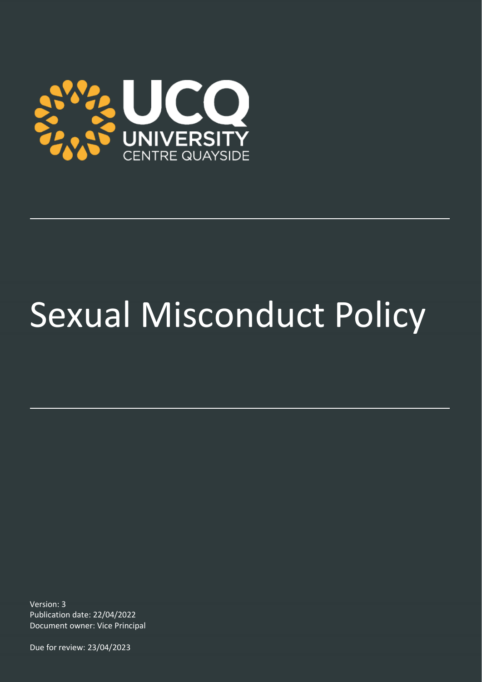

# Sexual Misconduct Policy

Version: 3 Publication date: 22/04/2022 Document owner: Vice Principal

Due for review: 23/04/2023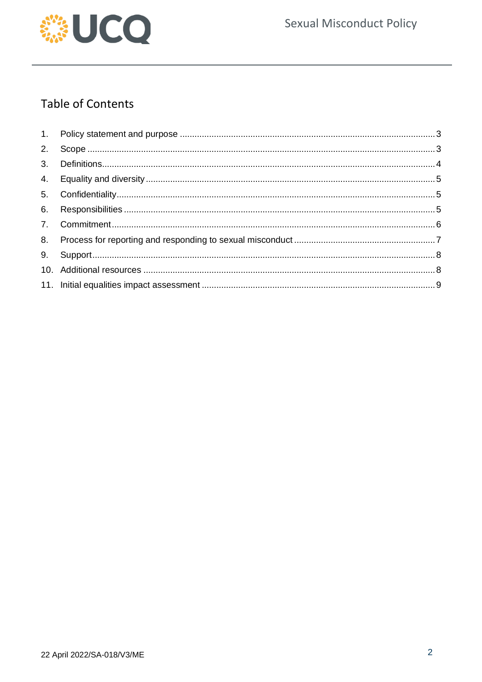

# **Table of Contents**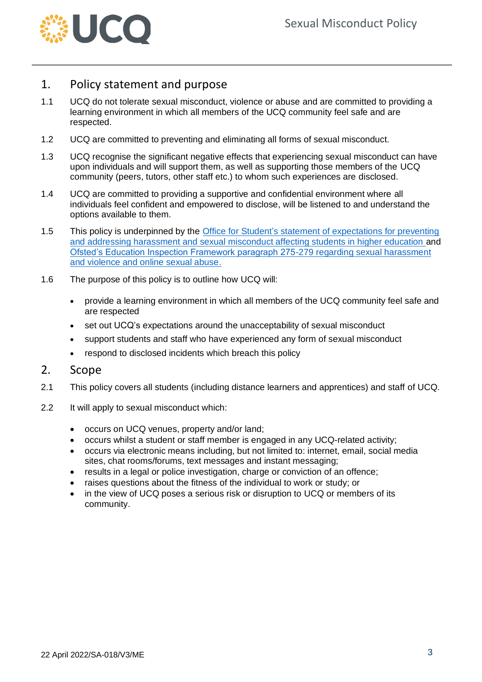

### <span id="page-2-0"></span>1. Policy statement and purpose

- 1.1 UCQ do not tolerate sexual misconduct, violence or abuse and are committed to providing a learning environment in which all members of the UCQ community feel safe and are respected.
- 1.2 UCQ are committed to preventing and eliminating all forms of sexual misconduct.
- 1.3 UCQ recognise the significant negative effects that experiencing sexual misconduct can have upon individuals and will support them, as well as supporting those members of the UCQ community (peers, tutors, other staff etc.) to whom such experiences are disclosed.
- 1.4 UCQ are committed to providing a supportive and confidential environment where all individuals feel confident and empowered to disclose, will be listened to and understand the options available to them.
- 1.5 This policy is underpinned by the [Office for Student's statement of expectations for preventing](https://www.officeforstudents.org.uk/advice-and-guidance/student-wellbeing-and-protection/prevent-and-address-harassment-and-sexual-misconduct/statement-of-expectations/)  [and addressing harassment and sexual misconduct affecting students in higher education](https://www.officeforstudents.org.uk/advice-and-guidance/student-wellbeing-and-protection/prevent-and-address-harassment-and-sexual-misconduct/statement-of-expectations/) and [Ofsted's Education Inspection Framework paragraph 275-279 regarding sexual harassment](https://www.gov.uk/government/publications/education-inspection-framework)  [and violence and online sexual abuse.](https://www.gov.uk/government/publications/education-inspection-framework)
- 1.6 The purpose of this policy is to outline how UCQ will:
	- provide a learning environment in which all members of the UCQ community feel safe and are respected
	- set out UCQ's expectations around the unacceptability of sexual misconduct
	- support students and staff who have experienced any form of sexual misconduct
	- respond to disclosed incidents which breach this policy

#### <span id="page-2-1"></span>2. Scope

- 2.1 This policy covers all students (including distance learners and apprentices) and staff of UCQ.
- 2.2 It will apply to sexual misconduct which:
	- occurs on UCQ venues, property and/or land;
	- occurs whilst a student or staff member is engaged in any UCQ-related activity;
	- occurs via electronic means including, but not limited to: internet, email, social media sites, chat rooms/forums, text messages and instant messaging;
	- results in a legal or police investigation, charge or conviction of an offence;
	- raises questions about the fitness of the individual to work or study; or
	- in the view of UCQ poses a serious risk or disruption to UCQ or members of its community.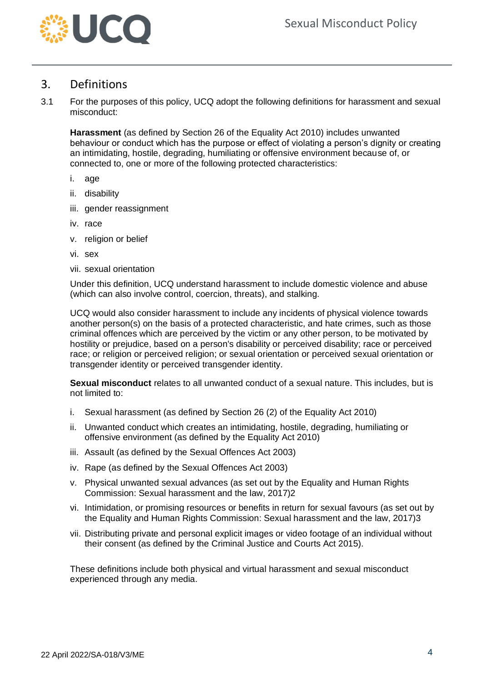

#### <span id="page-3-0"></span>3. Definitions

3.1 For the purposes of this policy, UCQ adopt the following definitions for harassment and sexual misconduct:

**Harassment** (as defined by Section 26 of the Equality Act 2010) includes unwanted behaviour or conduct which has the purpose or effect of violating a person's dignity or creating an intimidating, hostile, degrading, humiliating or offensive environment because of, or connected to, one or more of the following protected characteristics:

- i. age
- ii. disability
- iii. gender reassignment
- iv. race
- v. religion or belief
- vi. sex
- vii. sexual orientation

Under this definition, UCQ understand harassment to include domestic violence and abuse (which can also involve control, coercion, threats), and stalking.

UCQ would also consider harassment to include any incidents of physical violence towards another person(s) on the basis of a protected characteristic, and hate crimes, such as those criminal offences which are perceived by the victim or any other person, to be motivated by hostility or prejudice, based on a person's disability or perceived disability; race or perceived race; or religion or perceived religion; or sexual orientation or perceived sexual orientation or transgender identity or perceived transgender identity.

**Sexual misconduct** relates to all unwanted conduct of a sexual nature. This includes, but is not limited to:

- i. Sexual harassment (as defined by Section 26 (2) of the Equality Act 2010)
- ii. Unwanted conduct which creates an intimidating, hostile, degrading, humiliating or offensive environment (as defined by the Equality Act 2010)
- iii. Assault (as defined by the Sexual Offences Act 2003)
- iv. Rape (as defined by the Sexual Offences Act 2003)
- v. Physical unwanted sexual advances (as set out by the Equality and Human Rights Commission: Sexual harassment and the law, 2017)2
- vi. Intimidation, or promising resources or benefits in return for sexual favours (as set out by the Equality and Human Rights Commission: Sexual harassment and the law, 2017)3
- vii. Distributing private and personal explicit images or video footage of an individual without their consent (as defined by the Criminal Justice and Courts Act 2015).

These definitions include both physical and virtual harassment and sexual misconduct experienced through any media.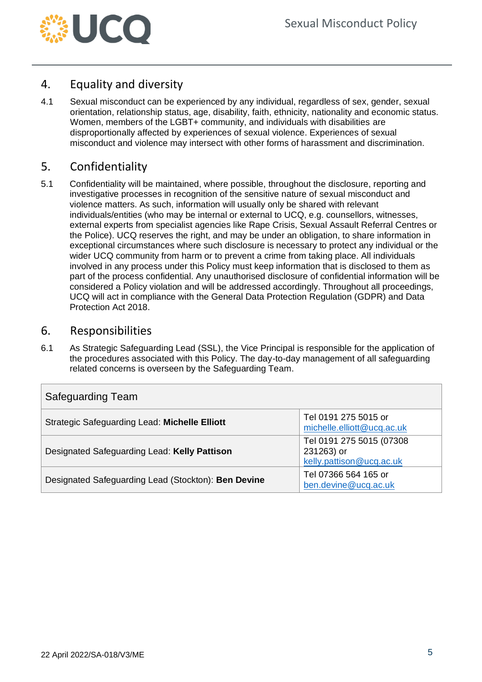

# <span id="page-4-0"></span>4. Equality and diversity

4.1 Sexual misconduct can be experienced by any individual, regardless of sex, gender, sexual orientation, relationship status, age, disability, faith, ethnicity, nationality and economic status. Women, members of the LGBT+ community, and individuals with disabilities are disproportionally affected by experiences of sexual violence. Experiences of sexual misconduct and violence may intersect with other forms of harassment and discrimination.

# <span id="page-4-1"></span>5. Confidentiality

5.1 Confidentiality will be maintained, where possible, throughout the disclosure, reporting and investigative processes in recognition of the sensitive nature of sexual misconduct and violence matters. As such, information will usually only be shared with relevant individuals/entities (who may be internal or external to UCQ, e.g. counsellors, witnesses, external experts from specialist agencies like Rape Crisis, Sexual Assault Referral Centres or the Police). UCQ reserves the right, and may be under an obligation, to share information in exceptional circumstances where such disclosure is necessary to protect any individual or the wider UCQ community from harm or to prevent a crime from taking place. All individuals involved in any process under this Policy must keep information that is disclosed to them as part of the process confidential. Any unauthorised disclosure of confidential information will be considered a Policy violation and will be addressed accordingly. Throughout all proceedings, UCQ will act in compliance with the General Data Protection Regulation (GDPR) and Data Protection Act 2018.

#### <span id="page-4-2"></span>6. Responsibilities

6.1 As Strategic Safeguarding Lead (SSL), the Vice Principal is responsible for the application of the procedures associated with this Policy. The day-to-day management of all safeguarding related concerns is overseen by the Safeguarding Team.

| <b>Safeguarding Team</b>                            |                                                                    |  |  |  |
|-----------------------------------------------------|--------------------------------------------------------------------|--|--|--|
| Strategic Safeguarding Lead: Michelle Elliott       | Tel 0191 275 5015 or<br>michelle.elliott@ucq.ac.uk                 |  |  |  |
| Designated Safeguarding Lead: Kelly Pattison        | Tel 0191 275 5015 (07308<br>231263) or<br>kelly.pattison@ucq.ac.uk |  |  |  |
| Designated Safeguarding Lead (Stockton): Ben Devine | Tel 07366 564 165 or<br>ben.devine@ucq.ac.uk                       |  |  |  |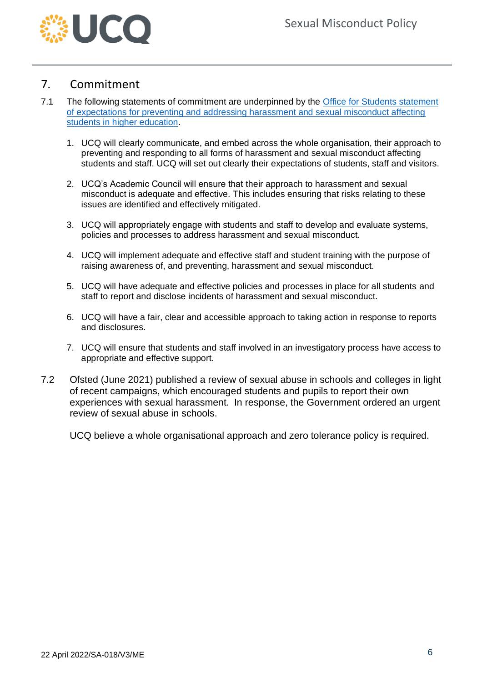

## <span id="page-5-0"></span>7. Commitment

- 7.1 The following statements of commitment are underpinned by the Office for Students statement [of expectations for preventing and addressing harassment and sexual misconduct affecting](https://www.officeforstudents.org.uk/advice-and-guidance/student-wellbeing-and-protection/prevent-and-address-harassment-and-sexual-misconduct/statement-of-expectations/)  [students in higher education.](https://www.officeforstudents.org.uk/advice-and-guidance/student-wellbeing-and-protection/prevent-and-address-harassment-and-sexual-misconduct/statement-of-expectations/)
	- 1. UCQ will clearly communicate, and embed across the whole organisation, their approach to preventing and responding to all forms of harassment and sexual misconduct affecting students and staff. UCQ will set out clearly their expectations of students, staff and visitors.
	- 2. UCQ's Academic Council will ensure that their approach to harassment and sexual misconduct is adequate and effective. This includes ensuring that risks relating to these issues are identified and effectively mitigated.
	- 3. UCQ will appropriately engage with students and staff to develop and evaluate systems, policies and processes to address harassment and sexual misconduct.
	- 4. UCQ will implement adequate and effective staff and student training with the purpose of raising awareness of, and preventing, harassment and sexual misconduct.
	- 5. UCQ will have adequate and effective policies and processes in place for all students and staff to report and disclose incidents of harassment and sexual misconduct.
	- 6. UCQ will have a fair, clear and accessible approach to taking action in response to reports and disclosures.
	- 7. UCQ will ensure that students and staff involved in an investigatory process have access to appropriate and effective support.
- 7.2 Ofsted (June 2021) published a review of sexual abuse in schools and colleges in light of recent campaigns, which encouraged students and pupils to report their own experiences with sexual harassment. In response, the Government ordered an urgent review of sexual abuse in schools.

UCQ believe a whole organisational approach and zero tolerance policy is required.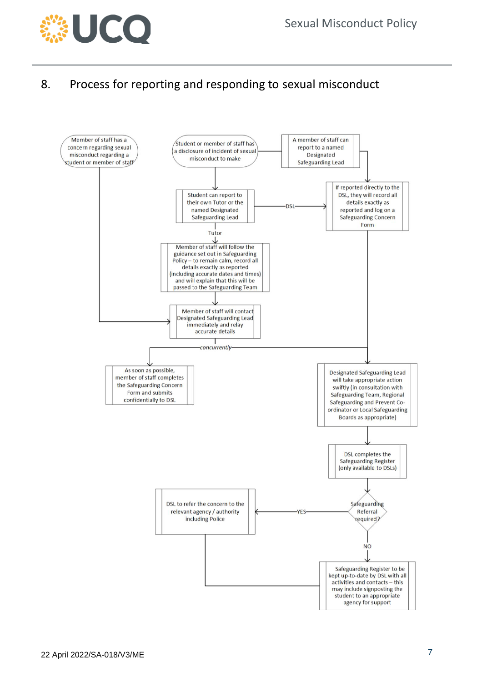

# <span id="page-6-0"></span>8. Process for reporting and responding to sexual misconduct

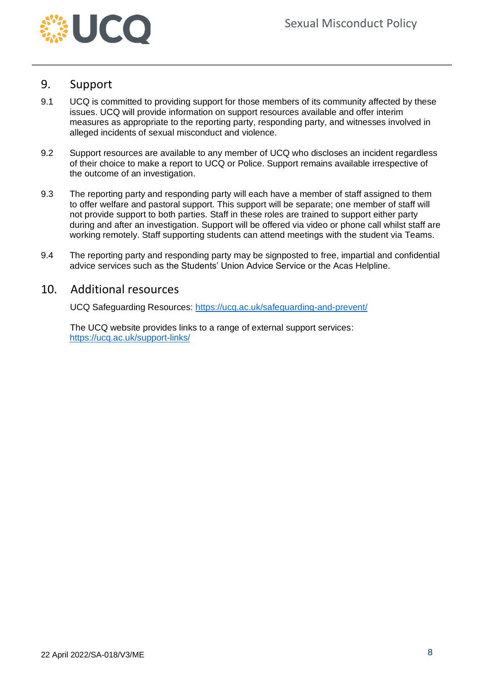

#### <span id="page-7-0"></span>9. Support

- 9.1 UCQ is committed to providing support for those members of its community affected by these issues. UCQ will provide information on support resources available and offer interim measures as appropriate to the reporting party, responding party, and witnesses involved in alleged incidents of sexual misconduct and violence.
- 9.2 Support resources are available to any member of UCQ who discloses an incident regardless of their choice to make a report to UCQ or Police. Support remains available irrespective of the outcome of an investigation.
- 9.3 The reporting party and responding party will each have a member of staff assigned to them to offer welfare and pastoral support. This support will be separate; one member of staff will not provide support to both parties. Staff in these roles are trained to support either party during and after an investigation. Support will be offered via video or phone call whilst staff are working remotely. Staff supporting students can attend meetings with the student via Teams.
- 9.4 The reporting party and responding party may be signposted to free, impartial and confidential advice services such as the Students' Union Advice Service or the Acas Helpline.

#### <span id="page-7-1"></span>10. Additional resources

UCQ Safeguarding Resources:<https://ucq.ac.uk/safeguarding-and-prevent/>

The UCQ website provides links to a range of external support services: <https://ucq.ac.uk/support-links/>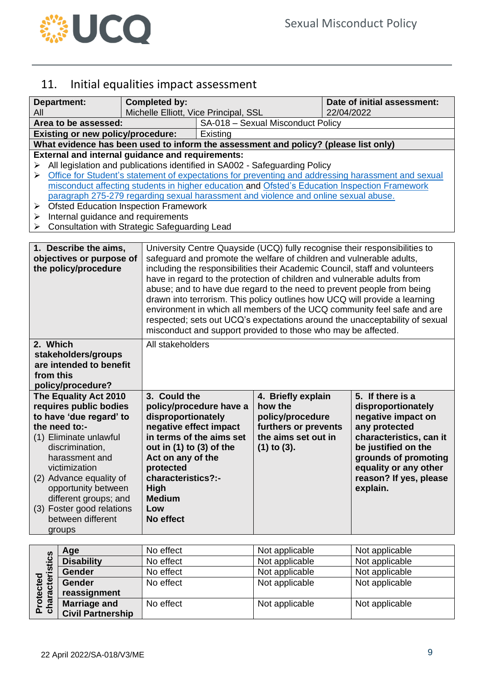

# <span id="page-8-0"></span>11. Initial equalities impact assessment

| <b>Department:</b>                                                                                                                                                                                                                                                                                                 |                                                                                                                                                                                                                                                                                                                                                                                                                                                                                                                                                                                   | <b>Completed by:</b>                                                                                                                                                                                     |                                                                                                                                                                                                                                                                                                                                                                                                                                                                                                                                                                                                                                                                                                 |                                                                                                                      | Date of initial assessment: |                                                                                                                                                                                                                        |
|--------------------------------------------------------------------------------------------------------------------------------------------------------------------------------------------------------------------------------------------------------------------------------------------------------------------|-----------------------------------------------------------------------------------------------------------------------------------------------------------------------------------------------------------------------------------------------------------------------------------------------------------------------------------------------------------------------------------------------------------------------------------------------------------------------------------------------------------------------------------------------------------------------------------|----------------------------------------------------------------------------------------------------------------------------------------------------------------------------------------------------------|-------------------------------------------------------------------------------------------------------------------------------------------------------------------------------------------------------------------------------------------------------------------------------------------------------------------------------------------------------------------------------------------------------------------------------------------------------------------------------------------------------------------------------------------------------------------------------------------------------------------------------------------------------------------------------------------------|----------------------------------------------------------------------------------------------------------------------|-----------------------------|------------------------------------------------------------------------------------------------------------------------------------------------------------------------------------------------------------------------|
| All                                                                                                                                                                                                                                                                                                                |                                                                                                                                                                                                                                                                                                                                                                                                                                                                                                                                                                                   |                                                                                                                                                                                                          | Michelle Elliott, Vice Principal, SSL                                                                                                                                                                                                                                                                                                                                                                                                                                                                                                                                                                                                                                                           |                                                                                                                      | 22/04/2022                  |                                                                                                                                                                                                                        |
|                                                                                                                                                                                                                                                                                                                    | Area to be assessed:                                                                                                                                                                                                                                                                                                                                                                                                                                                                                                                                                              |                                                                                                                                                                                                          |                                                                                                                                                                                                                                                                                                                                                                                                                                                                                                                                                                                                                                                                                                 | SA-018 - Sexual Misconduct Policy                                                                                    |                             |                                                                                                                                                                                                                        |
|                                                                                                                                                                                                                                                                                                                    | <b>Existing or new policy/procedure:</b>                                                                                                                                                                                                                                                                                                                                                                                                                                                                                                                                          |                                                                                                                                                                                                          | Existing                                                                                                                                                                                                                                                                                                                                                                                                                                                                                                                                                                                                                                                                                        |                                                                                                                      |                             |                                                                                                                                                                                                                        |
|                                                                                                                                                                                                                                                                                                                    |                                                                                                                                                                                                                                                                                                                                                                                                                                                                                                                                                                                   | What evidence has been used to inform the assessment and policy? (please list only)                                                                                                                      |                                                                                                                                                                                                                                                                                                                                                                                                                                                                                                                                                                                                                                                                                                 |                                                                                                                      |                             |                                                                                                                                                                                                                        |
| ➤<br>➤<br>➤<br>➤<br>➤                                                                                                                                                                                                                                                                                              | <b>External and internal guidance and requirements:</b><br>All legislation and publications identified in SA002 - Safeguarding Policy<br>Office for Student's statement of expectations for preventing and addressing harassment and sexual<br>misconduct affecting students in higher education and Ofsted's Education Inspection Framework<br>paragraph 275-279 regarding sexual harassment and violence and online sexual abuse.<br><b>Ofsted Education Inspection Framework</b><br>Internal guidance and requirements<br><b>Consultation with Strategic Safeguarding Lead</b> |                                                                                                                                                                                                          |                                                                                                                                                                                                                                                                                                                                                                                                                                                                                                                                                                                                                                                                                                 |                                                                                                                      |                             |                                                                                                                                                                                                                        |
| 1. Describe the aims,<br>objectives or purpose of<br>the policy/procedure                                                                                                                                                                                                                                          |                                                                                                                                                                                                                                                                                                                                                                                                                                                                                                                                                                                   |                                                                                                                                                                                                          | University Centre Quayside (UCQ) fully recognise their responsibilities to<br>safeguard and promote the welfare of children and vulnerable adults,<br>including the responsibilities their Academic Council, staff and volunteers<br>have in regard to the protection of children and vulnerable adults from<br>abuse; and to have due regard to the need to prevent people from being<br>drawn into terrorism. This policy outlines how UCQ will provide a learning<br>environment in which all members of the UCQ community feel safe and are<br>respected; sets out UCQ's expectations around the unacceptability of sexual<br>misconduct and support provided to those who may be affected. |                                                                                                                      |                             |                                                                                                                                                                                                                        |
| 2. Which<br>stakeholders/groups<br>are intended to benefit<br>from this<br>policy/procedure?                                                                                                                                                                                                                       |                                                                                                                                                                                                                                                                                                                                                                                                                                                                                                                                                                                   | All stakeholders                                                                                                                                                                                         |                                                                                                                                                                                                                                                                                                                                                                                                                                                                                                                                                                                                                                                                                                 |                                                                                                                      |                             |                                                                                                                                                                                                                        |
| The Equality Act 2010<br>requires public bodies<br>to have 'due regard' to<br>the need to:-<br>(1) Eliminate unlawful<br>discrimination.<br>harassment and<br>victimization<br>(2) Advance equality of<br>opportunity between<br>different groups; and<br>(3) Foster good relations<br>between different<br>groups |                                                                                                                                                                                                                                                                                                                                                                                                                                                                                                                                                                                   | 3. Could the<br>disproportionately<br>negative effect impact<br>out in $(1)$ to $(3)$ of the<br>Act on any of the<br>protected<br>characteristics?:-<br><b>High</b><br><b>Medium</b><br>Low<br>No effect | policy/procedure have a<br>in terms of the aims set                                                                                                                                                                                                                                                                                                                                                                                                                                                                                                                                                                                                                                             | 4. Briefly explain<br>how the<br>policy/procedure<br>furthers or prevents<br>the aims set out in<br>$(1)$ to $(3)$ . |                             | 5. If there is a<br>disproportionately<br>negative impact on<br>any protected<br>characteristics, can it<br>be justified on the<br>grounds of promoting<br>equality or any other<br>reason? If yes, please<br>explain. |
| ပ္ယ                                                                                                                                                                                                                                                                                                                | Age                                                                                                                                                                                                                                                                                                                                                                                                                                                                                                                                                                               | No effect                                                                                                                                                                                                |                                                                                                                                                                                                                                                                                                                                                                                                                                                                                                                                                                                                                                                                                                 | Not applicable                                                                                                       |                             | Not applicable                                                                                                                                                                                                         |
|                                                                                                                                                                                                                                                                                                                    | Dioobility                                                                                                                                                                                                                                                                                                                                                                                                                                                                                                                                                                        | $h \circ f$                                                                                                                                                                                              |                                                                                                                                                                                                                                                                                                                                                                                                                                                                                                                                                                                                                                                                                                 | Not opplieable                                                                                                       |                             | Not opplicable                                                                                                                                                                                                         |

|                                           | Age                      | No effect | Not applicable | Not applicable |
|-------------------------------------------|--------------------------|-----------|----------------|----------------|
| acteristic<br>ਠ<br>ត្ត<br>Õ<br>Pro<br>cha | <b>Disability</b>        | No effect | Not applicable | Not applicable |
|                                           | <b>Gender</b>            | No effect | Not applicable | Not applicable |
|                                           | <b>Gender</b>            | No effect | Not applicable | Not applicable |
|                                           | reassignment             |           |                |                |
|                                           | <b>Marriage and</b>      | No effect | Not applicable | Not applicable |
|                                           | <b>Civil Partnership</b> |           |                |                |